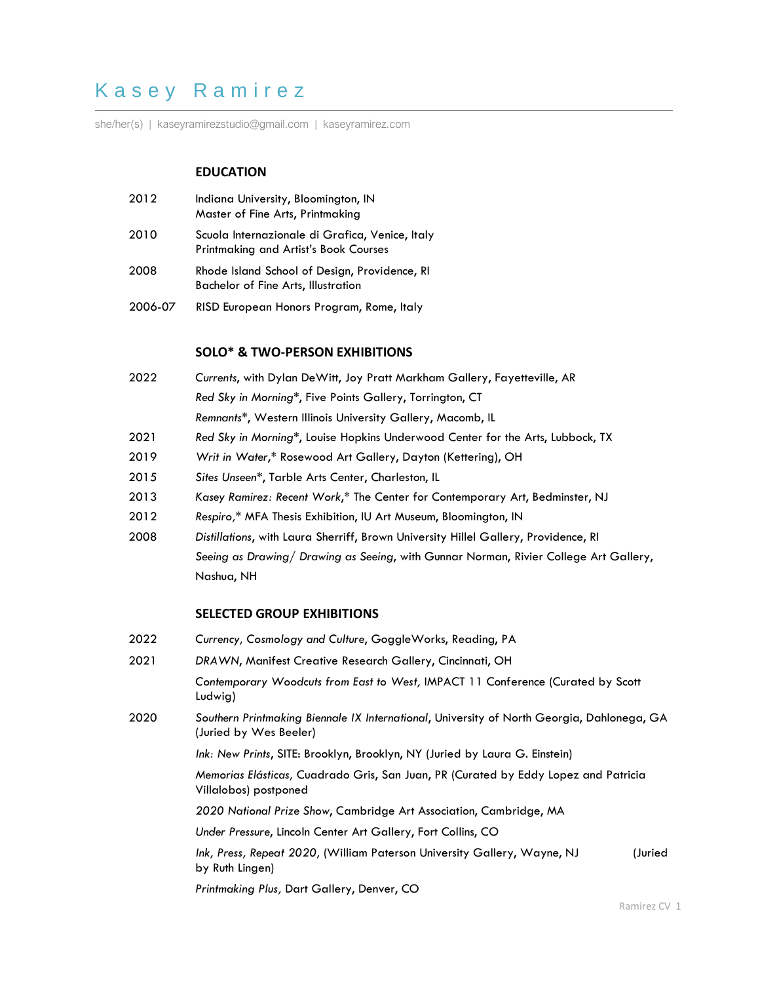# K a s e y R a m i r e z

she/her(s) | kaseyramirezstudio@gmail.com | kaseyramirez.com

# **EDUCATION**

- 2012 Indiana University, Bloomington, IN Master of Fine Arts, Printmaking
- 2010 Scuola Internazionale di Grafica, Venice, Italy Printmaking and Artist's Book Courses
- 2008 Rhode Island School of Design, Providence, RI Bachelor of Fine Arts, Illustration
- 2006-07 RISD European Honors Program, Rome, Italy

# **SOLO\* & TWO-PERSON EXHIBITIONS**

- 2022 *Currents*, with Dylan DeWitt, Joy Pratt Markham Gallery, Fayetteville, AR *Red Sky in Morning*\*, Five Points Gallery, Torrington, CT *Remnants\**, Western Illinois University Gallery, Macomb, IL
- 2021 *Red Sky in Morning*\*, Louise Hopkins Underwood Center for the Arts, Lubbock, TX
- 2019 *Writ in Water*,\* Rosewood Art Gallery, Dayton (Kettering), OH
- 2015 *Sites Unseen\**, Tarble Arts Center, Charleston, IL
- 2013 *Kasey Ramirez: Recent Work*,\* The Center for Contemporary Art, Bedminster, NJ
- 2012 *Respiro,\** MFA Thesis Exhibition, IU Art Museum, Bloomington, IN
- 2008 *Distillations*, with Laura Sherriff, Brown University Hillel Gallery, Providence, RI *Seeing as Drawing/ Drawing as Seeing*, with Gunnar Norman, Rivier College Art Gallery, Nashua, NH

#### **SELECTED GROUP EXHIBITIONS**

- 2022 *Currency, Cosmology and Culture*, GoggleWorks, Reading, PA
- 2021 *DRAWN*, Manifest Creative Research Gallery, Cincinnati, OH *Contemporary Woodcuts from East to West,* IMPACT 11 Conference (Curated by Scott Ludwig) 2020 *Southern Printmaking Biennale IX International*, University of North Georgia, Dahlonega, GA (Juried by Wes Beeler) *Ink: New Prints*, SITE: Brooklyn, Brooklyn, NY (Juried by Laura G. Einstein) *Memorias Elásticas,* Cuadrado Gris, San Juan, PR (Curated by Eddy Lopez and Patricia Villalobos) postponed

*2020 National Prize Show*, Cambridge Art Association, Cambridge, MA

*Under Pressure*, Lincoln Center Art Gallery, Fort Collins, CO

- *Ink, Press, Repeat 2020,* (William Paterson University Gallery, Wayne, NJ (Juried by Ruth Lingen)
- *Printmaking Plus,* Dart Gallery, Denver, CO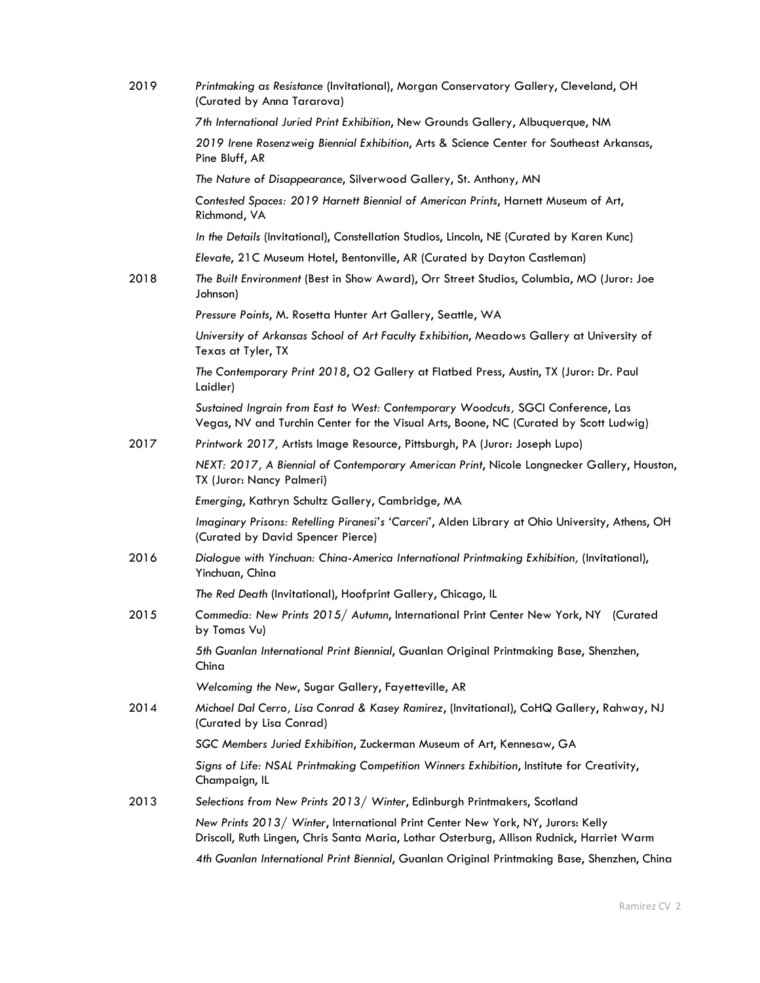| 2019 | Printmaking as Resistance (Invitational), Morgan Conservatory Gallery, Cleveland, OH<br>(Curated by Anna Tararova)                                                           |
|------|------------------------------------------------------------------------------------------------------------------------------------------------------------------------------|
|      | 7th International Juried Print Exhibition, New Grounds Gallery, Albuquerque, NM                                                                                              |
|      | 2019 Irene Rosenzweig Biennial Exhibition, Arts & Science Center for Southeast Arkansas,<br>Pine Bluff, AR                                                                   |
|      | The Nature of Disappearance, Silverwood Gallery, St. Anthony, MN                                                                                                             |
|      | Contested Spaces: 2019 Harnett Biennial of American Prints, Harnett Museum of Art,<br>Richmond, VA                                                                           |
|      | In the Details (Invitational), Constellation Studios, Lincoln, NE (Curated by Karen Kunc)                                                                                    |
|      | Elevate, 21C Museum Hotel, Bentonville, AR (Curated by Dayton Castleman)                                                                                                     |
| 2018 | The Built Environment (Best in Show Award), Orr Street Studios, Columbia, MO (Juror: Joe<br>Johnson)                                                                         |
|      | Pressure Points, M. Rosetta Hunter Art Gallery, Seattle, WA                                                                                                                  |
|      | University of Arkansas School of Art Faculty Exhibition, Meadows Gallery at University of<br>Texas at Tyler, TX                                                              |
|      | The Contemporary Print 2018, O2 Gallery at Flatbed Press, Austin, TX (Juror: Dr. Paul<br>Laidler)                                                                            |
|      | Sustained Ingrain from East to West: Contemporary Woodcuts, SGCI Conference, Las<br>Vegas, NV and Turchin Center for the Visual Arts, Boone, NC (Curated by Scott Ludwig)    |
| 2017 | Printwork 2017, Artists Image Resource, Pittsburgh, PA (Juror: Joseph Lupo)                                                                                                  |
|      | NEXT: 2017, A Biennial of Contemporary American Print, Nicole Longnecker Gallery, Houston,<br>TX (Juror: Nancy Palmeri)                                                      |
|      | Emerging, Kathryn Schultz Gallery, Cambridge, MA                                                                                                                             |
|      | Imaginary Prisons: Retelling Piranesi's 'Carceri', Alden Library at Ohio University, Athens, OH<br>(Curated by David Spencer Pierce)                                         |
| 2016 | Dialogue with Yinchuan: China-America International Printmaking Exhibition, (Invitational),<br>Yinchuan, China                                                               |
|      | The Red Death (Invitational), Hoofprint Gallery, Chicago, IL                                                                                                                 |
| 2015 | Commedia: New Prints 2015/ Autumn, International Print Center New York, NY (Curated<br>by Tomas Vu)                                                                          |
|      | 5th Guanlan International Print Biennial, Guanlan Original Printmaking Base, Shenzhen,<br>China                                                                              |
|      | Welcoming the New, Sugar Gallery, Fayetteville, AR                                                                                                                           |
| 2014 | Michael Dal Cerro, Lisa Conrad & Kasey Ramirez, (Invitational), CoHQ Gallery, Rahway, NJ<br>(Curated by Lisa Conrad)                                                         |
|      | SGC Members Juried Exhibition, Zuckerman Museum of Art, Kennesaw, GA                                                                                                         |
|      | Signs of Life: NSAL Printmaking Competition Winners Exhibition, Institute for Creativity,<br>Champaign, IL                                                                   |
| 2013 | Selections from New Prints 2013/ Winter, Edinburgh Printmakers, Scotland                                                                                                     |
|      | New Prints 2013/ Winter, International Print Center New York, NY, Jurors: Kelly<br>Driscoll, Ruth Lingen, Chris Santa Maria, Lothar Osterburg, Allison Rudnick, Harriet Warm |
|      | 4th Guanlan International Print Biennial, Guanlan Original Printmaking Base, Shenzhen, China                                                                                 |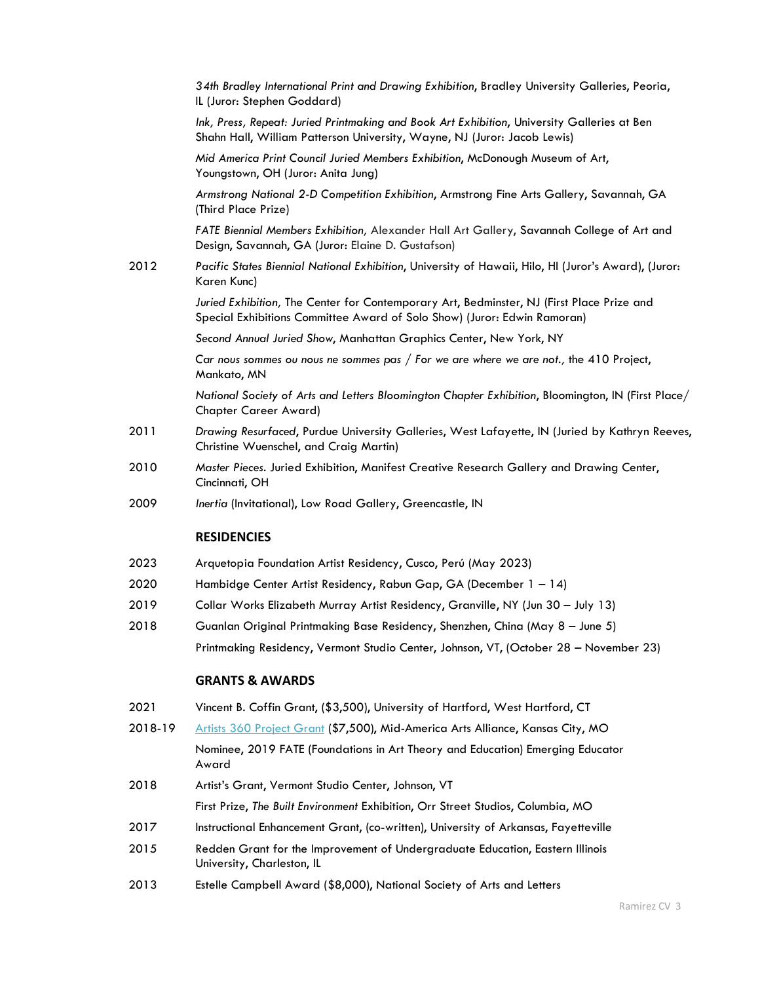*34th Bradley International Print and Drawing Exhibition*, Bradley University Galleries, Peoria, IL (Juror: Stephen Goddard)

*Ink, Press, Repeat: Juried Printmaking and Book Art Exhibition*, University Galleries at Ben Shahn Hall, William Patterson University, Wayne, NJ (Juror: Jacob Lewis)

*Mid America Print Council Juried Members Exhibition*, McDonough Museum of Art, Youngstown, OH (Juror: Anita Jung)

*Armstrong National 2-D Competition Exhibition*, Armstrong Fine Arts Gallery, Savannah, GA (Third Place Prize)

*FATE Biennial Members Exhibition,* Alexander Hall Art Gallery, Savannah College of Art and Design, Savannah, GA (Juror: Elaine D. Gustafson)

2012 *Pacific States Biennial National Exhibition*, University of Hawaii, Hilo, HI (Juror's Award), (Juror: Karen Kunc)

> *Juried Exhibition,* The Center for Contemporary Art, Bedminster, NJ (First Place Prize and Special Exhibitions Committee Award of Solo Show) (Juror: Edwin Ramoran)

*Second Annual Juried Show*, Manhattan Graphics Center, New York, NY

*Car nous sommes ou nous ne sommes pas* / *For we are where we are not.,* the 410 Project, Mankato, MN

*National Society of Arts and Letters Bloomington Chapter Exhibition*, Bloomington, IN (First Place/ Chapter Career Award)

- 2011 *Drawing Resurfaced*, Purdue University Galleries, West Lafayette, IN (Juried by Kathryn Reeves, Christine Wuenschel, and Craig Martin)
- 2010 *Master Pieces*. Juried Exhibition, Manifest Creative Research Gallery and Drawing Center, Cincinnati, OH
- 2009 *Inertia* (Invitational), Low Road Gallery, Greencastle, IN

#### **RESIDENCIES**

- 2023 Arquetopia Foundation Artist Residency, Cusco, Perú (May 2023)
- 2020 Hambidge Center Artist Residency, Rabun Gap, GA (December 1 14)
- 2019 Collar Works Elizabeth Murray Artist Residency, Granville, NY (Jun 30 July 13)
- 2018 Guanlan Original Printmaking Base Residency, Shenzhen, China (May 8 June 5) Printmaking Residency, Vermont Studio Center, Johnson, VT, (October 28 – November 23)

#### **GRANTS & AWARDS**

- 2021 Vincent B. Coffin Grant, (\$3,500), University of Hartford, West Hartford, CT
- 2018-19 [Artists 360 Project Grant](https://artists360.art/artists/kasey-ramirez/) (\$7,500), Mid-America Arts Alliance, Kansas City, MO
- Nominee, 2019 FATE (Foundations in Art Theory and Education) Emerging Educator Award
- 2018 Artist's Grant, Vermont Studio Center, Johnson, VT First Prize, *The Built Environment* Exhibition, Orr Street Studios, Columbia, MO
- 2017 Instructional Enhancement Grant, (co-written), University of Arkansas, Fayetteville
- 2015 Redden Grant for the Improvement of Undergraduate Education, Eastern Illinois University, Charleston, IL
- 2013 Estelle Campbell Award (\$8,000), National Society of Arts and Letters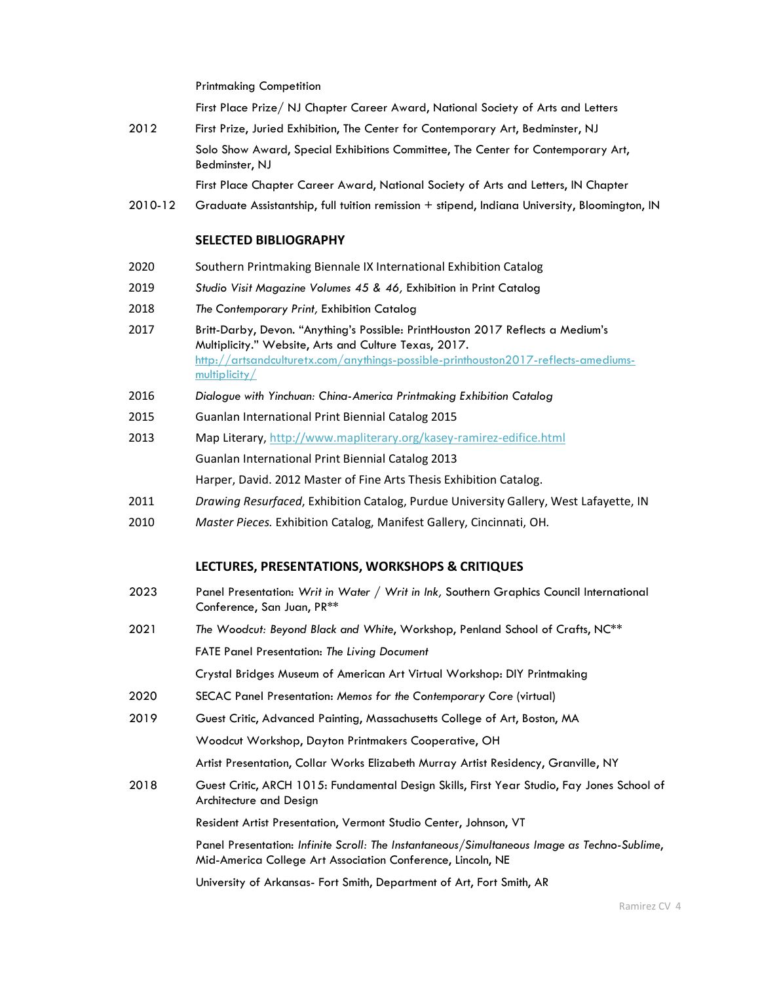Printmaking Competition

First Place Prize/ NJ Chapter Career Award, National Society of Arts and Letters

2012 First Prize, Juried Exhibition, The Center for Contemporary Art, Bedminster, NJ Solo Show Award, Special Exhibitions Committee, The Center for Contemporary Art, Bedminster, NJ

First Place Chapter Career Award, National Society of Arts and Letters, IN Chapter

2010-12 Graduate Assistantship, full tuition remission + stipend, Indiana University, Bloomington, IN

#### **SELECTED BIBLIOGRAPHY**

- 2020 Southern Printmaking Biennale IX International Exhibition Catalog
- 2019 *Studio Visit Magazine Volumes 45 & 46,* Exhibition in Print Catalog
- 2018 *The Contemporary Print,* Exhibition Catalog
- 2017 Britt-Darby, Devon. "Anything's Possible: PrintHouston 2017 Reflects a Medium's Multiplicity." Website, Arts and Culture Texas, 2017. [http://artsandculturetx.com/anythings-possible-printhouston2017-reflects-amediums](http://artsandculturetx.com/anythings-possible-printhouston2017-reflects-amediums-multiplicity/)[multiplicity/](http://artsandculturetx.com/anythings-possible-printhouston2017-reflects-amediums-multiplicity/)
- 2016 *Dialogue with Yinchuan: China-America Printmaking Exhibition Catalog*
- 2015 Guanlan International Print Biennial Catalog 2015
- 2013 Map Literary,<http://www.mapliterary.org/kasey-ramirez-edifice.html> Guanlan International Print Biennial Catalog 2013 Harper, David. 2012 Master of Fine Arts Thesis Exhibition Catalog.
- 2011 *Drawing Resurfaced*, Exhibition Catalog, Purdue University Gallery, West Lafayette, IN
- 2010 *Master Pieces.* Exhibition Catalog, Manifest Gallery, Cincinnati, OH.

### **LECTURES, PRESENTATIONS, WORKSHOPS & CRITIQUES**

- 2023 Panel Presentation: *Writ in Water / Writ in Ink,* Southern Graphics Council International Conference, San Juan, PR\*\*
- 2021 *The Woodcut: Beyond Black and White*, Workshop, Penland School of Crafts, NC\*\* FATE Panel Presentation: *The Living Document*

Crystal Bridges Museum of American Art Virtual Workshop: DIY Printmaking

- 2020 SECAC Panel Presentation: *Memos for the Contemporary Core* (virtual)
- 2019 Guest Critic, Advanced Painting, Massachusetts College of Art, Boston, MA

Woodcut Workshop, Dayton Printmakers Cooperative, OH

Artist Presentation, Collar Works Elizabeth Murray Artist Residency, Granville, NY

2018 Guest Critic, ARCH 1015: Fundamental Design Skills, First Year Studio, Fay Jones School of Architecture and Design

Resident Artist Presentation, Vermont Studio Center, Johnson, VT

Panel Presentation: *Infinite Scroll: The Instantaneous/Simultaneous Image as Techno-Sublime*, Mid-America College Art Association Conference, Lincoln, NE

University of Arkansas- Fort Smith, Department of Art, Fort Smith, AR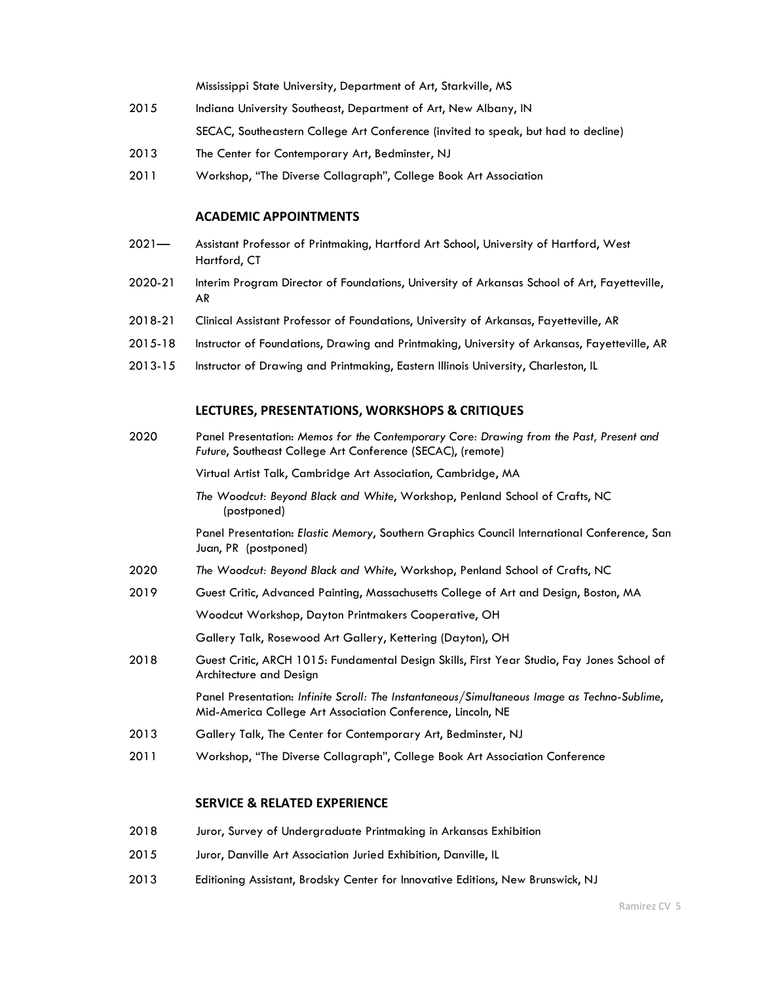Mississippi State University, Department of Art, Starkville, MS

- 2015 Indiana University Southeast, Department of Art, New Albany, IN SECAC, Southeastern College Art Conference (invited to speak, but had to decline)
- 2013 The Center for Contemporary Art, Bedminster, NJ
- 2011 Workshop, "The Diverse Collagraph", College Book Art Association

#### **ACADEMIC APPOINTMENTS**

- 2021— Assistant Professor of Printmaking, Hartford Art School, University of Hartford, West Hartford, CT
- 2020-21 Interim Program Director of Foundations, University of Arkansas School of Art, Fayetteville, AR
- 2018-21 Clinical Assistant Professor of Foundations, University of Arkansas, Fayetteville, AR
- 2015-18 Instructor of Foundations, Drawing and Printmaking, University of Arkansas, Fayetteville, AR
- 2013-15 Instructor of Drawing and Printmaking, Eastern Illinois University, Charleston, IL

# **LECTURES, PRESENTATIONS, WORKSHOPS & CRITIQUES**

2020 Panel Presentation: *Memos for the Contemporary Core: Drawing from the Past, Present and Future*, Southeast College Art Conference (SECAC), (remote)

Virtual Artist Talk, Cambridge Art Association, Cambridge, MA

*The Woodcut: Beyond Black and White*, Workshop, Penland School of Crafts, NC (postponed)

Panel Presentation: *Elastic Memory*, Southern Graphics Council International Conference, San Juan, PR (postponed)

- 2020 *The Woodcut: Beyond Black and White*, Workshop, Penland School of Crafts, NC
- 2019 Guest Critic, Advanced Painting, Massachusetts College of Art and Design, Boston, MA

Woodcut Workshop, Dayton Printmakers Cooperative, OH

Gallery Talk, Rosewood Art Gallery, Kettering (Dayton), OH

2018 Guest Critic, ARCH 1015: Fundamental Design Skills, First Year Studio, Fay Jones School of Architecture and Design

> Panel Presentation: *Infinite Scroll: The Instantaneous/Simultaneous Image as Techno-Sublime*, Mid-America College Art Association Conference, Lincoln, NE

- 2013 Gallery Talk, The Center for Contemporary Art, Bedminster, NJ
- 2011 Workshop, "The Diverse Collagraph", College Book Art Association Conference

### **SERVICE & RELATED EXPERIENCE**

- 2018 Juror, Survey of Undergraduate Printmaking in Arkansas Exhibition
- 2015 Juror, Danville Art Association Juried Exhibition, Danville, IL
- 2013 Editioning Assistant, Brodsky Center for Innovative Editions, New Brunswick, NJ